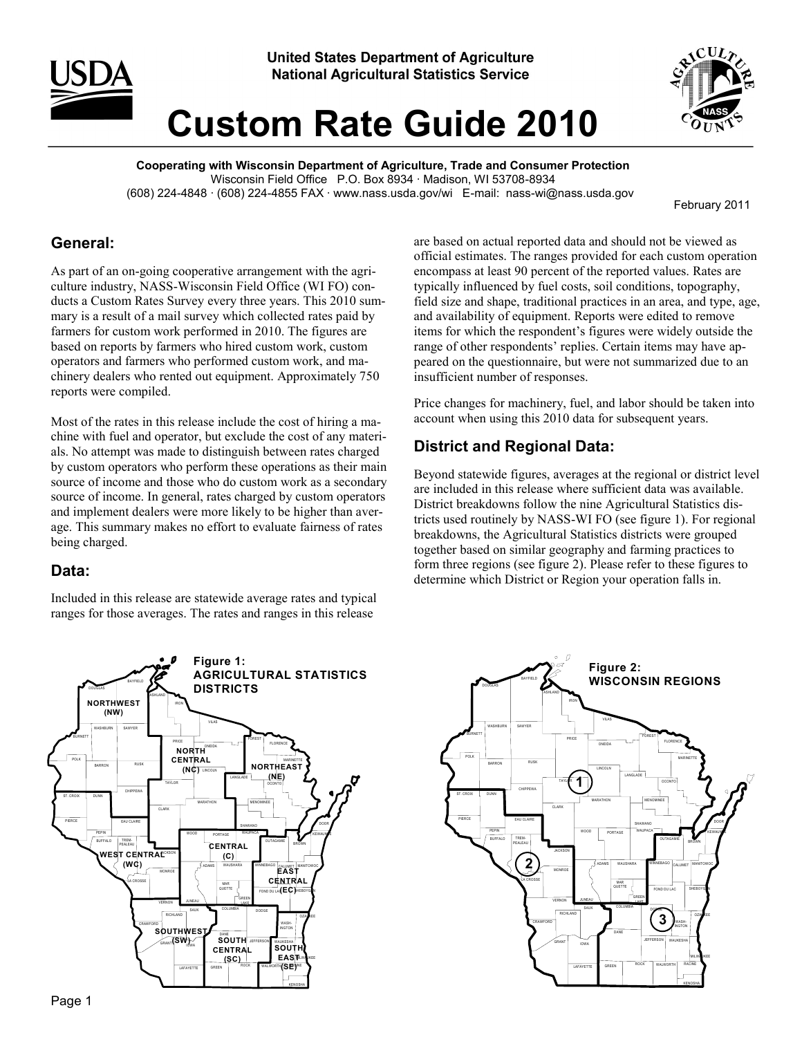



# **Custom Rate Guide 2010**

**Cooperating with Wisconsin Department of Agriculture, Trade and Consumer Protection** Wisconsin Field Office P.O. Box 8934 · Madison, WI 53708-8934 (608) 224-4848 · (608) 224-4855 FAX · www.nass.usda.gov/wi E-mail: nass-wi@nass.usda.gov

February 2011

#### **General:**

As part of an on-going cooperative arrangement with the agriculture industry, NASS-Wisconsin Field Office (WI FO) conducts a Custom Rates Survey every three years. This 2010 summary is a result of a mail survey which collected rates paid by farmers for custom work performed in 2010. The figures are based on reports by farmers who hired custom work, custom operators and farmers who performed custom work, and machinery dealers who rented out equipment. Approximately 750 reports were compiled.

Most of the rates in this release include the cost of hiring a machine with fuel and operator, but exclude the cost of any materials. No attempt was made to distinguish between rates charged by custom operators who perform these operations as their main source of income and those who do custom work as a secondary source of income. In general, rates charged by custom operators and implement dealers were more likely to be higher than average. This summary makes no effort to evaluate fairness of rates being charged.

#### **Data:**

Included in this release are statewide average rates and typical ranges for those averages. The rates and ranges in this release



are based on actual reported data and should not be viewed as official estimates. The ranges provided for each custom operation encompass at least 90 percent of the reported values. Rates are typically influenced by fuel costs, soil conditions, topography, field size and shape, traditional practices in an area, and type, age, and availability of equipment. Reports were edited to remove items for which the respondent's figures were widely outside the range of other respondents' replies. Certain items may have appeared on the questionnaire, but were not summarized due to an insufficient number of responses.

Price changes for machinery, fuel, and labor should be taken into account when using this 2010 data for subsequent years.

### **District and Regional Data:**

Beyond statewide figures, averages at the regional or district level are included in this release where sufficient data was available. District breakdowns follow the nine Agricultural Statistics districts used routinely by NASS-WI FO (see figure 1). For regional breakdowns, the Agricultural Statistics districts were grouped together based on similar geography and farming practices to form three regions (see figure 2). Please refer to these figures to determine which District or Region your operation falls in.

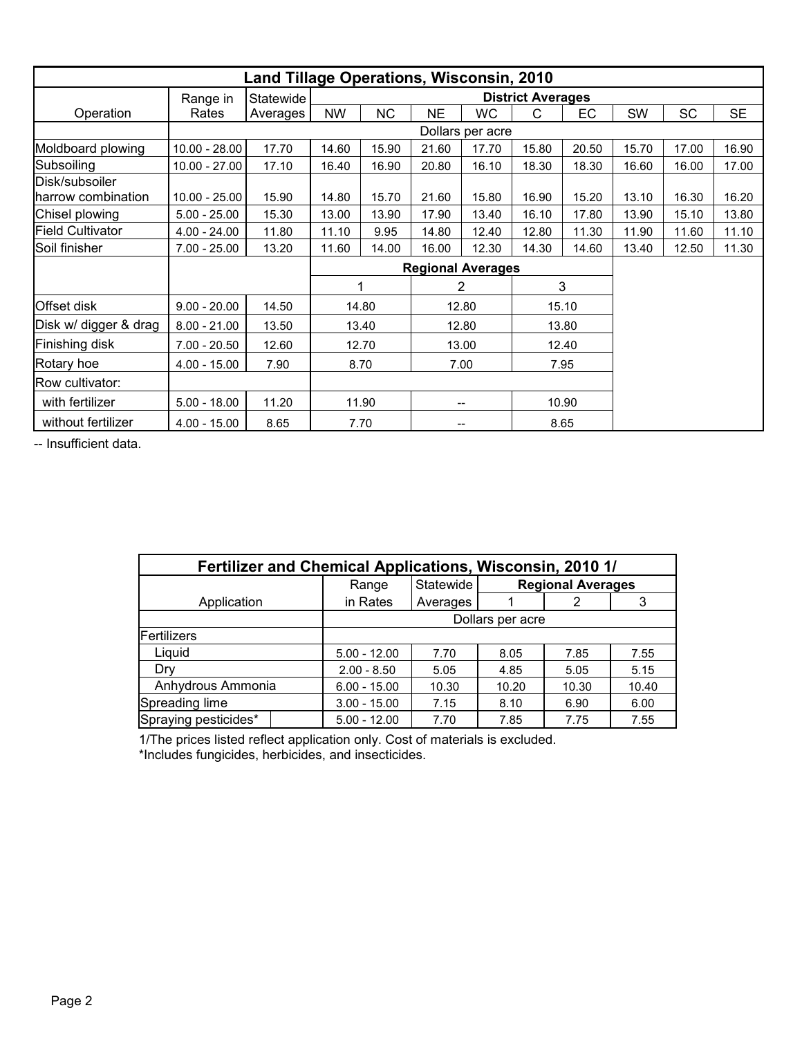| <b>Land Tillage Operations, Wisconsin, 2010</b> |                 |                 |           |           |           |                          |                          |       |       |       |           |
|-------------------------------------------------|-----------------|-----------------|-----------|-----------|-----------|--------------------------|--------------------------|-------|-------|-------|-----------|
|                                                 | Range in        | Statewide       |           |           |           |                          | <b>District Averages</b> |       |       |       |           |
| Operation                                       | Rates           | <b>Averages</b> | <b>NW</b> | <b>NC</b> | <b>NE</b> | <b>WC</b>                | C                        | EC    | SW    | SC    | <b>SE</b> |
|                                                 |                 |                 |           |           |           | Dollars per acre         |                          |       |       |       |           |
| Moldboard plowing                               | $10.00 - 28.00$ | 17.70           | 14.60     | 15.90     | 21.60     | 17.70                    | 15.80                    | 20.50 | 15.70 | 17.00 | 16.90     |
| Subsoiling                                      | $10.00 - 27.00$ | 17.10           | 16.40     | 16.90     | 20.80     | 16.10                    | 18.30                    | 18.30 | 16.60 | 16.00 | 17.00     |
| Disk/subsoiler<br>harrow combination            | $10.00 - 25.00$ | 15.90           | 14.80     | 15.70     | 21.60     | 15.80                    | 16.90                    | 15.20 | 13.10 | 16.30 | 16.20     |
| Chisel plowing                                  | $5.00 - 25.00$  | 15.30           | 13.00     | 13.90     | 17.90     | 13.40                    | 16.10                    | 17.80 | 13.90 | 15.10 | 13.80     |
| <b>Field Cultivator</b>                         | $4.00 - 24.00$  | 11.80           | 11.10     | 9.95      | 14.80     | 12.40                    | 12.80                    | 11.30 | 11.90 | 11.60 | 11.10     |
| Soil finisher                                   | $7.00 - 25.00$  | 13.20           | 11.60     | 14.00     | 16.00     | 12.30                    | 14.30                    | 14.60 | 13.40 | 12.50 | 11.30     |
|                                                 |                 |                 |           |           |           | <b>Regional Averages</b> |                          |       |       |       |           |
|                                                 |                 |                 | 1         |           |           | 2                        |                          | 3     |       |       |           |
| Offset disk                                     | $9.00 - 20.00$  | 14.50           |           | 14.80     |           | 12.80                    |                          | 15.10 |       |       |           |
| Disk w/ digger & drag                           | $8.00 - 21.00$  | 13.50           |           | 13.40     |           | 12.80                    |                          | 13.80 |       |       |           |
| Finishing disk                                  | $7.00 - 20.50$  | 12.60           |           | 12.70     |           | 13.00                    |                          | 12.40 |       |       |           |
| Rotary hoe                                      | $4.00 - 15.00$  | 7.90            | 8.70      |           |           | 7.00                     |                          | 7.95  |       |       |           |
| Row cultivator:                                 |                 |                 |           |           |           |                          |                          |       |       |       |           |
| with fertilizer                                 | $5.00 - 18.00$  | 11.20           |           | 11.90     | --        |                          | 10.90                    |       |       |       |           |
| without fertilizer                              | $4.00 - 15.00$  | 8.65            |           | 7.70      |           |                          |                          | 8.65  |       |       |           |

| Fertilizer and Chemical Applications, Wisconsin, 2010 1/ |                  |           |                          |       |       |  |  |  |
|----------------------------------------------------------|------------------|-----------|--------------------------|-------|-------|--|--|--|
|                                                          | Range            | Statewide | <b>Regional Averages</b> |       |       |  |  |  |
| Application                                              | in Rates         | Averages  |                          | 2     | 3     |  |  |  |
|                                                          | Dollars per acre |           |                          |       |       |  |  |  |
| Fertilizers                                              |                  |           |                          |       |       |  |  |  |
| Liquid                                                   | $5.00 - 12.00$   | 7.70      | 8.05                     | 7.85  | 7.55  |  |  |  |
| Drv                                                      | $2.00 - 8.50$    | 5.05      | 4.85                     | 5.05  | 5.15  |  |  |  |
| Anhydrous Ammonia                                        | $6.00 - 15.00$   | 10.30     | 10.20                    | 10.30 | 10.40 |  |  |  |
| Spreading lime                                           | $3.00 - 15.00$   | 7.15      | 8.10                     | 6.90  | 6.00  |  |  |  |
| Spraying pesticides*                                     | $5.00 - 12.00$   | 7.70      | 7.85                     | 7.75  | 7.55  |  |  |  |

1/The prices listed reflect application only. Cost of materials is excluded. \*Includes fungicides, herbicides, and insecticides.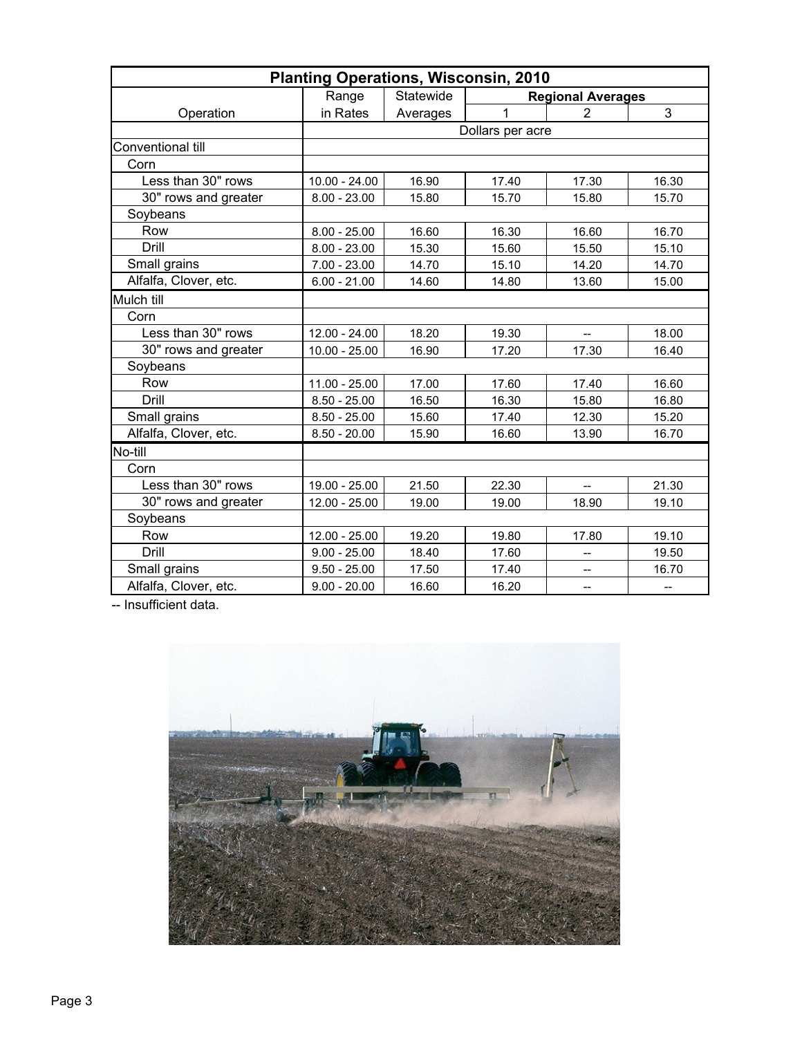| <b>Planting Operations, Wisconsin, 2010</b> |                 |           |                  |                          |                   |  |  |  |
|---------------------------------------------|-----------------|-----------|------------------|--------------------------|-------------------|--|--|--|
|                                             | Range           | Statewide |                  | <b>Regional Averages</b> |                   |  |  |  |
| Operation                                   | in Rates        | Averages  | 1                | $\overline{2}$           | 3                 |  |  |  |
|                                             |                 |           | Dollars per acre |                          |                   |  |  |  |
| Conventional till                           |                 |           |                  |                          |                   |  |  |  |
| Corn                                        |                 |           |                  |                          |                   |  |  |  |
| Less than 30" rows                          | $10.00 - 24.00$ | 16.90     | 17.40            | 17.30                    | 16.30             |  |  |  |
| 30" rows and greater                        | $8.00 - 23.00$  | 15.80     | 15.70            | 15.80                    | 15.70             |  |  |  |
| Soybeans                                    |                 |           |                  |                          |                   |  |  |  |
| Row                                         | $8.00 - 25.00$  | 16.60     | 16.30            | 16.60                    | 16.70             |  |  |  |
| Drill                                       | $8.00 - 23.00$  | 15.30     | 15.60            | 15.50                    | 15.10             |  |  |  |
| Small grains                                | $7.00 - 23.00$  | 14.70     | 15.10            | 14.20                    | 14.70             |  |  |  |
| Alfalfa, Clover, etc.                       | $6.00 - 21.00$  | 14.60     | 14.80            | 13.60                    | 15.00             |  |  |  |
| Mulch till                                  |                 |           |                  |                          |                   |  |  |  |
| Corn                                        |                 |           |                  |                          |                   |  |  |  |
| Less than 30" rows                          | $12.00 - 24.00$ | 18.20     | 19.30            |                          | 18.00             |  |  |  |
| 30" rows and greater                        | $10.00 - 25.00$ | 16.90     | 17.20            | 17.30                    | 16.40             |  |  |  |
| Soybeans                                    |                 |           |                  |                          |                   |  |  |  |
| Row                                         | $11.00 - 25.00$ | 17.00     | 17.60            | 17.40                    | 16.60             |  |  |  |
| Drill                                       | $8.50 - 25.00$  | 16.50     | 16.30            | 15.80                    | 16.80             |  |  |  |
| Small grains                                | $8.50 - 25.00$  | 15.60     | 17.40            | 12.30                    | 15.20             |  |  |  |
| Alfalfa, Clover, etc.                       | $8.50 - 20.00$  | 15.90     | 16.60            | 13.90                    | 16.70             |  |  |  |
| No-till                                     |                 |           |                  |                          |                   |  |  |  |
| Corn                                        |                 |           |                  |                          |                   |  |  |  |
| Less than 30" rows                          | 19.00 - 25.00   | 21.50     | 22.30            | $\overline{a}$           | 21.30             |  |  |  |
| 30" rows and greater                        | $12.00 - 25.00$ | 19.00     | 19.00            | 18.90                    | 19.10             |  |  |  |
| Soybeans                                    |                 |           |                  |                          |                   |  |  |  |
| Row                                         | $12.00 - 25.00$ | 19.20     | 19.80            | 17.80                    | 19.10             |  |  |  |
| Drill                                       | $9.00 - 25.00$  | 18.40     | 17.60            | --                       | 19.50             |  |  |  |
| Small grains                                | $9.50 - 25.00$  | 17.50     | 17.40            | --                       | 16.70             |  |  |  |
| Alfalfa, Clover, etc.                       | $9.00 - 20.00$  | 16.60     | 16.20            | --                       | $\qquad \qquad -$ |  |  |  |

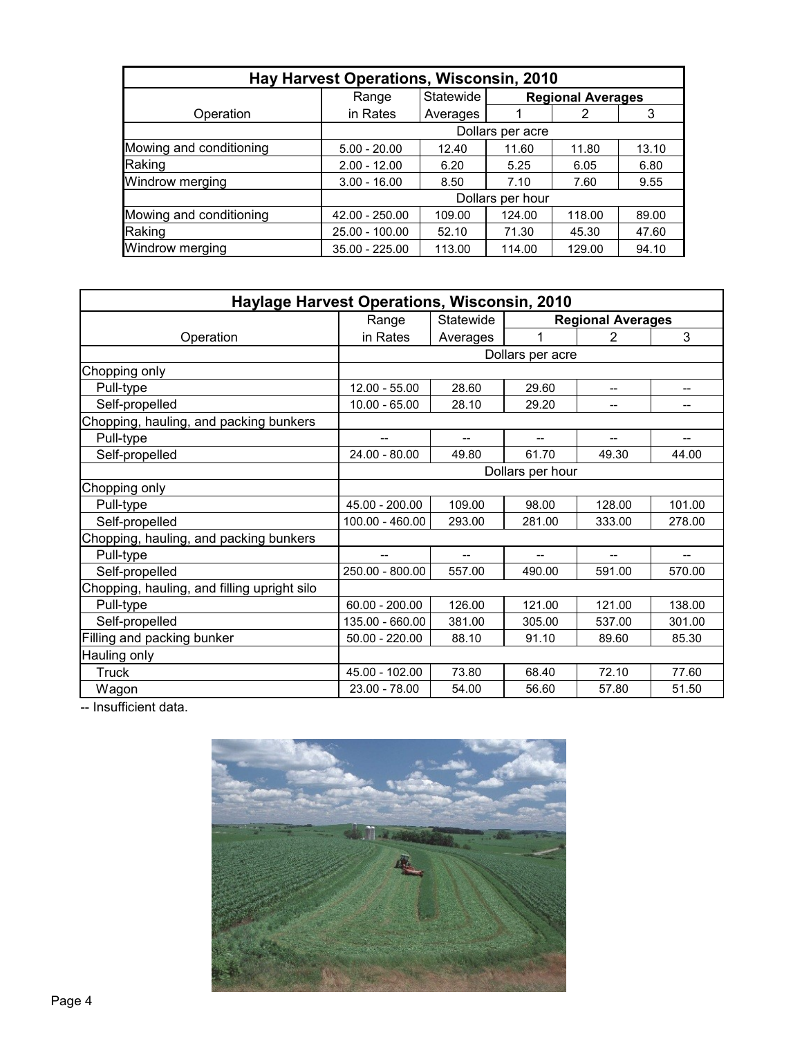| Hay Harvest Operations, Wisconsin, 2010 |                  |           |                  |                          |       |  |  |  |
|-----------------------------------------|------------------|-----------|------------------|--------------------------|-------|--|--|--|
|                                         | Range            | Statewide |                  | <b>Regional Averages</b> |       |  |  |  |
| Operation                               | in Rates         | Averages  |                  | 2                        | 3     |  |  |  |
|                                         | Dollars per acre |           |                  |                          |       |  |  |  |
| Mowing and conditioning                 | $5.00 - 20.00$   | 12.40     | 11.60            | 11.80                    | 13.10 |  |  |  |
| Raking                                  | $2.00 - 12.00$   | 6.20      | 5.25             | 6.05                     | 6.80  |  |  |  |
| Windrow merging                         | $3.00 - 16.00$   | 8.50      | 7.10             | 7.60                     | 9.55  |  |  |  |
|                                         |                  |           | Dollars per hour |                          |       |  |  |  |
| Mowing and conditioning                 | 42.00 - 250.00   | 109.00    | 124.00           | 118.00                   | 89.00 |  |  |  |
| Raking                                  | 25.00 - 100.00   | 52.10     | 71.30            | 45.30                    | 47.60 |  |  |  |
| Windrow merging                         | $35.00 - 225.00$ | 113.00    | 114.00           | 129.00                   | 94.10 |  |  |  |

| <b>Haylage Harvest Operations, Wisconsin, 2010</b> |                  |           |                          |                          |        |  |  |
|----------------------------------------------------|------------------|-----------|--------------------------|--------------------------|--------|--|--|
|                                                    | Range            | Statewide |                          | <b>Regional Averages</b> |        |  |  |
| Operation                                          | in Rates         | Averages  | 1                        | 2                        | 3      |  |  |
|                                                    |                  |           | Dollars per acre         |                          |        |  |  |
| Chopping only                                      |                  |           |                          |                          |        |  |  |
| Pull-type                                          | 12.00 - 55.00    | 28.60     | 29.60                    |                          | --     |  |  |
| Self-propelled                                     | $10.00 - 65.00$  | 28.10     | 29.20                    | --                       | --     |  |  |
| Chopping, hauling, and packing bunkers             |                  |           |                          |                          |        |  |  |
| Pull-type                                          | $-$              | --        | --                       | --                       |        |  |  |
| Self-propelled                                     | $24.00 - 80.00$  | 49.80     | 61.70                    | 49.30                    | 44.00  |  |  |
|                                                    | Dollars per hour |           |                          |                          |        |  |  |
| Chopping only                                      |                  |           |                          |                          |        |  |  |
| Pull-type                                          | 45.00 - 200.00   | 109.00    | 98.00                    | 128.00                   | 101.00 |  |  |
| Self-propelled                                     | 100.00 - 460.00  | 293.00    | 281.00                   | 333.00                   | 278.00 |  |  |
| Chopping, hauling, and packing bunkers             |                  |           |                          |                          |        |  |  |
| Pull-type                                          | --               | $-$       | $\overline{\phantom{a}}$ | $\overline{\phantom{a}}$ | $- -$  |  |  |
| Self-propelled                                     | 250.00 - 800.00  | 557.00    | 490.00                   | 591.00                   | 570.00 |  |  |
| Chopping, hauling, and filling upright silo        |                  |           |                          |                          |        |  |  |
| Pull-type                                          | $60.00 - 200.00$ | 126.00    | 121.00                   | 121.00                   | 138.00 |  |  |
| Self-propelled                                     | 135.00 - 660.00  | 381.00    | 305.00                   | 537.00                   | 301.00 |  |  |
| Filling and packing bunker                         | $50.00 - 220.00$ | 88.10     | 91.10                    | 89.60                    | 85.30  |  |  |
| Hauling only                                       |                  |           |                          |                          |        |  |  |
| Truck                                              | 45.00 - 102.00   | 73.80     | 68.40                    | 72.10                    | 77.60  |  |  |
| Wagon                                              | $23.00 - 78.00$  | 54.00     | 56.60                    | 57.80                    | 51.50  |  |  |

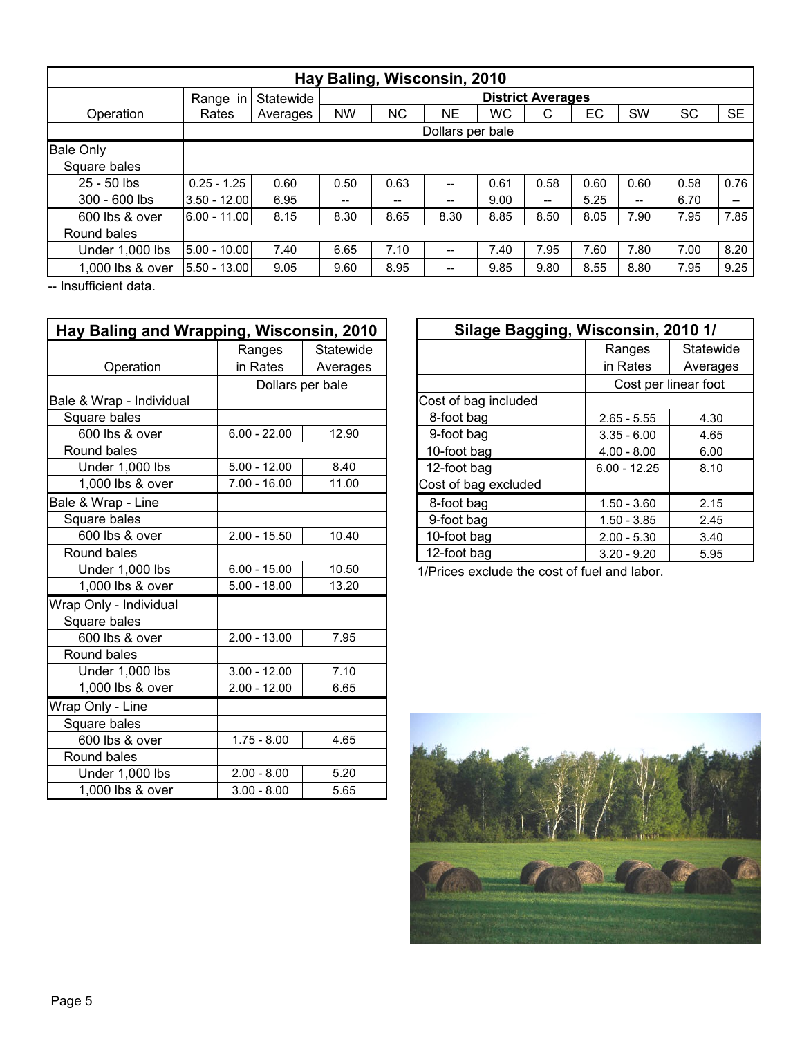| Hay Baling, Wisconsin, 2010 |                |                  |                                       |                          |       |           |                   |      |                                       |           |           |
|-----------------------------|----------------|------------------|---------------------------------------|--------------------------|-------|-----------|-------------------|------|---------------------------------------|-----------|-----------|
|                             | Range in       | Statewide        |                                       | <b>District Averages</b> |       |           |                   |      |                                       |           |           |
| Operation                   | Rates          | Averages         | NW                                    | <b>NC</b>                | NΕ    | <b>WC</b> | С                 | EC   | <b>SW</b>                             | <b>SC</b> | <b>SE</b> |
|                             |                | Dollars per bale |                                       |                          |       |           |                   |      |                                       |           |           |
| <b>Bale Only</b>            |                |                  |                                       |                          |       |           |                   |      |                                       |           |           |
| Square bales                |                |                  |                                       |                          |       |           |                   |      |                                       |           |           |
| $25 - 50$ lbs               | $0.25 - 1.25$  | 0.60             | 0.50                                  | 0.63                     | $-$   | 0.61      | 0.58              | 0.60 | 0.60                                  | 0.58      | 0.76      |
| $300 - 600$ lbs             | $3.50 - 12.00$ | 6.95             | $\hspace{0.05cm}$ – $\hspace{0.05cm}$ | $- -$                    | $- -$ | 9.00      | $\qquad \qquad -$ | 5.25 | $\hspace{0.05cm}$ – $\hspace{0.05cm}$ | 6.70      | $- -$     |
| 600 lbs & over              | $6.00 - 11.00$ | 8.15             | 8.30                                  | 8.65                     | 8.30  | 8.85      | 8.50              | 8.05 | 7.90                                  | 7.95      | 7.85      |
| Round bales                 |                |                  |                                       |                          |       |           |                   |      |                                       |           |           |
| Under 1,000 lbs             | $5.00 - 10.00$ | 7.40             | 6.65                                  | 7.10                     | $-$   | 7.40      | 7.95              | 7.60 | 7.80                                  | 7.00      | 8.20      |
| 1,000 lbs & over            | 5.50 - 13.00   | 9.05             | 9.60                                  | 8.95                     | --    | 9.85      | 9.80              | 8.55 | 8.80                                  | 7.95      | 9.25      |

| Hay Baling and Wrapping, Wisconsin, 2010 |                  |           |  |  |  |  |
|------------------------------------------|------------------|-----------|--|--|--|--|
|                                          | Ranges           | Statewide |  |  |  |  |
| Operation                                | in Rates         | Averages  |  |  |  |  |
|                                          | Dollars per bale |           |  |  |  |  |
| Bale & Wrap - Individual                 |                  |           |  |  |  |  |
| Square bales                             |                  |           |  |  |  |  |
| 600 lbs & over                           | $6.00 - 22.00$   | 12.90     |  |  |  |  |
| Round bales                              |                  |           |  |  |  |  |
| Under 1,000 lbs                          | $5.00 - 12.00$   | 8.40      |  |  |  |  |
| 1,000 lbs & over                         | $7.00 - 16.00$   | 11.00     |  |  |  |  |
| Bale & Wrap - Line                       |                  |           |  |  |  |  |
| Square bales                             |                  |           |  |  |  |  |
| 600 lbs & over                           | $2.00 - 15.50$   | 10.40     |  |  |  |  |
| Round bales                              |                  |           |  |  |  |  |
| Under 1,000 lbs                          | $6.00 - 15.00$   | 10.50     |  |  |  |  |
| 1,000 lbs & over                         | $5.00 - 18.00$   | 13.20     |  |  |  |  |
| Wrap Only - Individual                   |                  |           |  |  |  |  |
| Square bales                             |                  |           |  |  |  |  |
| 600 lbs & over                           | $2.00 - 13.00$   | 7.95      |  |  |  |  |
| Round bales                              |                  |           |  |  |  |  |
| Under 1,000 lbs                          | $3.00 - 12.00$   | 7.10      |  |  |  |  |
| 1,000 lbs & over                         | $2.00 - 12.00$   | 6.65      |  |  |  |  |
| Wrap Only - Line                         |                  |           |  |  |  |  |
| Square bales                             |                  |           |  |  |  |  |
| 600 lbs & over                           | $1.75 - 8.00$    | 4.65      |  |  |  |  |
| Round bales                              |                  |           |  |  |  |  |
| Under 1,000 lbs                          | $2.00 - 8.00$    | 5.20      |  |  |  |  |
| 1,000 lbs & over                         | $3.00 - 8.00$    | 5.65      |  |  |  |  |

| Silage Bagging, Wisconsin, 2010 1/ |                      |           |
|------------------------------------|----------------------|-----------|
|                                    | Ranges               | Statewide |
|                                    | in Rates             | Averages  |
|                                    | Cost per linear foot |           |
| Cost of bag included               |                      |           |
| 8-foot bag                         | $2.65 - 5.55$        | 4.30      |
| 9-foot bag                         | $3.35 - 6.00$        | 4.65      |
| 10-foot bag                        | $4.00 - 8.00$        | 6.00      |
| 12-foot bag                        | $6.00 - 12.25$       | 8.10      |
| Cost of bag excluded               |                      |           |
| 8-foot bag                         | $1.50 - 3.60$        | 2.15      |
| 9-foot bag                         | $1.50 - 3.85$        | 2.45      |
| 10-foot bag                        | $2.00 - 5.30$        | 3.40      |
| 12-foot bag                        | $3.20 - 9.20$        | 5.95      |

1/Prices exclude the cost of fuel and labor.

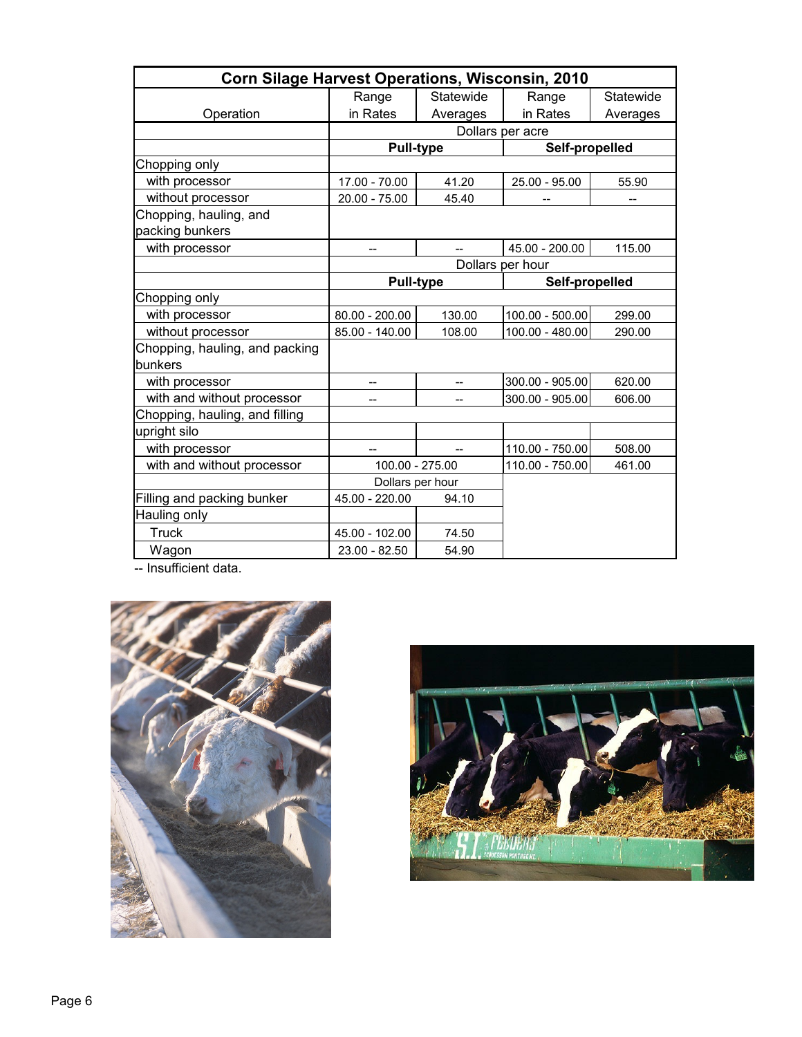| Corn Silage Harvest Operations, Wisconsin, 2010 |                 |                  |                  |           |  |  |  |  |
|-------------------------------------------------|-----------------|------------------|------------------|-----------|--|--|--|--|
|                                                 | Range           | Statewide        | Range            | Statewide |  |  |  |  |
| Operation                                       | in Rates        | Averages         | in Rates         | Averages  |  |  |  |  |
|                                                 |                 |                  | Dollars per acre |           |  |  |  |  |
|                                                 |                 | <b>Pull-type</b> | Self-propelled   |           |  |  |  |  |
| Chopping only                                   |                 |                  |                  |           |  |  |  |  |
| with processor                                  | 17.00 - 70.00   | 41.20            | 25.00 - 95.00    | 55.90     |  |  |  |  |
| without processor                               | $20.00 - 75.00$ | 45.40            |                  |           |  |  |  |  |
| Chopping, hauling, and                          |                 |                  |                  |           |  |  |  |  |
| packing bunkers                                 |                 |                  |                  |           |  |  |  |  |
| with processor                                  |                 |                  | 45.00 - 200.00   | 115.00    |  |  |  |  |
|                                                 |                 |                  | Dollars per hour |           |  |  |  |  |
|                                                 |                 | <b>Pull-type</b> | Self-propelled   |           |  |  |  |  |
| Chopping only                                   |                 |                  |                  |           |  |  |  |  |
| with processor                                  | 80.00 - 200.00  | 130.00           | 100.00 - 500.00  | 299.00    |  |  |  |  |
| without processor                               | 85.00 - 140.00  | 108.00           | 100.00 - 480.00  | 290.00    |  |  |  |  |
| Chopping, hauling, and packing                  |                 |                  |                  |           |  |  |  |  |
| bunkers                                         |                 |                  |                  |           |  |  |  |  |
| with processor                                  |                 |                  | 300.00 - 905.00  | 620.00    |  |  |  |  |
| with and without processor                      | --              | $-$              | 300.00 - 905.00  | 606.00    |  |  |  |  |
| Chopping, hauling, and filling                  |                 |                  |                  |           |  |  |  |  |
| upright silo                                    |                 |                  |                  |           |  |  |  |  |
| with processor                                  |                 |                  | 110.00 - 750.00  | 508.00    |  |  |  |  |
| with and without processor                      |                 | 100.00 - 275.00  | 110.00 - 750.00  | 461.00    |  |  |  |  |
|                                                 |                 | Dollars per hour |                  |           |  |  |  |  |
| Filling and packing bunker                      | 45.00 - 220.00  | 94.10            |                  |           |  |  |  |  |
| Hauling only                                    |                 |                  |                  |           |  |  |  |  |
| <b>Truck</b>                                    | 45.00 - 102.00  | 74.50            |                  |           |  |  |  |  |
| Wagon                                           | $23.00 - 82.50$ | 54.90            |                  |           |  |  |  |  |



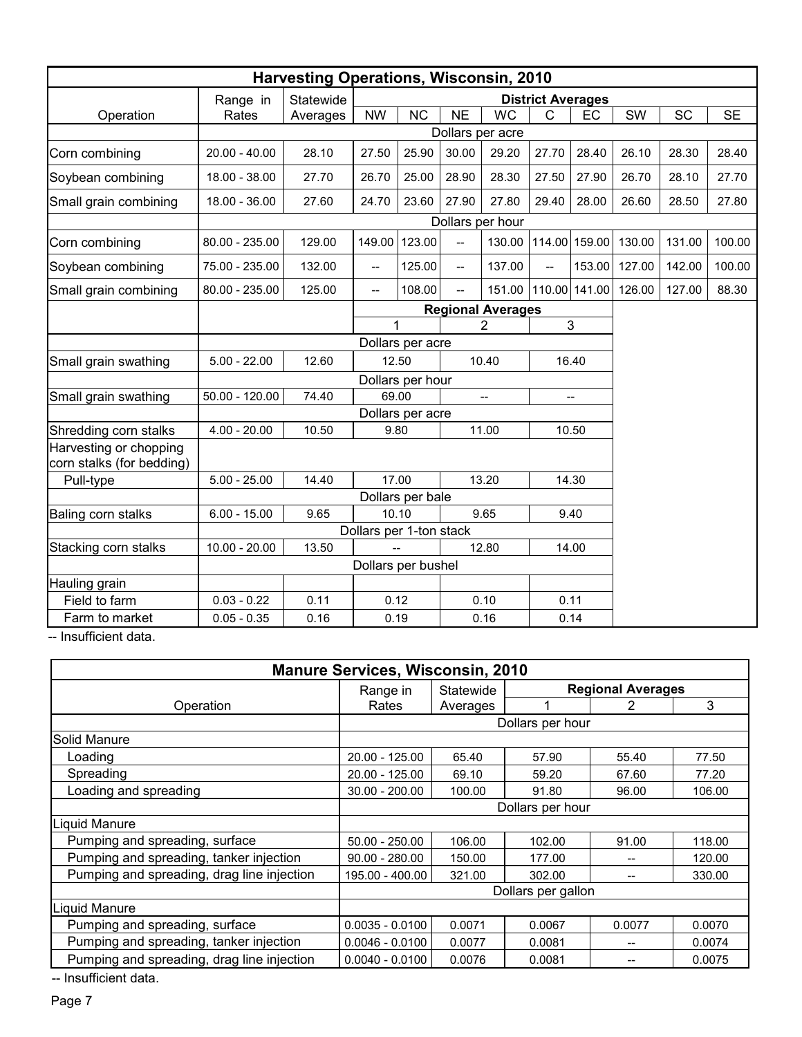| <b>Harvesting Operations, Wisconsin, 2010</b>       |                  |                          |                          |                                       |                          |                  |                          |               |        |           |           |
|-----------------------------------------------------|------------------|--------------------------|--------------------------|---------------------------------------|--------------------------|------------------|--------------------------|---------------|--------|-----------|-----------|
|                                                     | Range in         | Statewide                |                          |                                       |                          |                  | <b>District Averages</b> |               |        |           |           |
| Operation                                           | Rates            | Averages                 | <b>NW</b>                | <b>NC</b>                             | <b>NE</b>                | <b>WC</b>        | $\mathsf{C}$             | EC            | SW     | <b>SC</b> | <b>SE</b> |
|                                                     |                  |                          |                          |                                       |                          | Dollars per acre |                          |               |        |           |           |
| Corn combining                                      | $20.00 - 40.00$  | 28.10                    | 27.50                    | 25.90                                 | 30.00                    | 29.20            | 27.70                    | 28.40         | 26.10  | 28.30     | 28.40     |
| Soybean combining                                   | 18.00 - 38.00    | 27.70                    | 26.70                    | 25.00                                 | 28.90                    | 28.30            | 27.50                    | 27.90         | 26.70  | 28.10     | 27.70     |
| Small grain combining                               | 18.00 - 36.00    | 27.60                    | 24.70                    | 23.60                                 | 27.90                    | 27.80            | 29.40                    | 28.00         | 26.60  | 28.50     | 27.80     |
|                                                     |                  |                          |                          |                                       |                          | Dollars per hour |                          |               |        |           |           |
| Corn combining                                      | 80.00 - 235.00   | 129.00                   | 149.00                   | 123.00                                | $\overline{a}$           | 130.00           |                          | 114.00 159.00 | 130.00 | 131.00    | 100.00    |
| Soybean combining                                   | 75.00 - 235.00   | 132.00                   | $\overline{\phantom{a}}$ | 125.00                                | $\overline{\phantom{a}}$ | 137.00           | --                       | 153.00        | 127.00 | 142.00    | 100.00    |
| Small grain combining                               | 80.00 - 235.00   | 125.00                   | $\overline{\phantom{a}}$ | 108.00                                | $\overline{a}$           | 151.00           |                          | 110.00 141.00 | 126.00 | 127.00    | 88.30     |
|                                                     |                  | <b>Regional Averages</b> |                          |                                       |                          |                  |                          |               |        |           |           |
|                                                     |                  |                          |                          | $\overline{3}$<br>1<br>$\overline{2}$ |                          |                  |                          |               |        |           |           |
|                                                     |                  |                          |                          | Dollars per acre                      |                          |                  |                          |               |        |           |           |
| Small grain swathing                                | $5.00 - 22.00$   | 12.60                    | 12.50                    |                                       |                          | 10.40            | 16.40                    |               |        |           |           |
|                                                     |                  |                          |                          | Dollars per hour                      |                          |                  |                          |               |        |           |           |
| Small grain swathing                                | $50.00 - 120.00$ | 74.40                    | 69.00                    |                                       |                          | --               |                          | --            |        |           |           |
|                                                     |                  |                          |                          | Dollars per acre                      |                          |                  |                          |               |        |           |           |
| Shredding corn stalks                               | $4.00 - 20.00$   | 10.50                    | 9.80                     |                                       |                          | 11.00            |                          | 10.50         |        |           |           |
| Harvesting or chopping<br>corn stalks (for bedding) |                  |                          |                          |                                       |                          |                  |                          |               |        |           |           |
| Pull-type                                           | $5.00 - 25.00$   | 14.40                    | 17.00                    |                                       |                          | 13.20            |                          | 14.30         |        |           |           |
|                                                     |                  |                          |                          | Dollars per bale                      |                          |                  |                          |               |        |           |           |
| Baling corn stalks                                  | $6.00 - 15.00$   | 9.65                     | 10.10                    |                                       |                          | 9.65             |                          | 9.40          |        |           |           |
|                                                     |                  |                          | Dollars per 1-ton stack  |                                       |                          |                  |                          |               |        |           |           |
| Stacking corn stalks                                | $10.00 - 20.00$  | 13.50                    | $\overline{\phantom{a}}$ |                                       |                          | 12.80            |                          | 14.00         |        |           |           |
|                                                     |                  |                          | Dollars per bushel       |                                       |                          |                  |                          |               |        |           |           |
| Hauling grain                                       |                  |                          |                          |                                       |                          |                  |                          |               |        |           |           |
| Field to farm                                       | $0.03 - 0.22$    | 0.11                     | 0.12                     |                                       |                          | 0.10             | 0.11                     |               |        |           |           |
| Farm to market                                      | $0.05 - 0.35$    | 0.16                     | 0.19                     |                                       |                          | 0.16             | 0.14                     |               |        |           |           |

| <b>Manure Services, Wisconsin, 2010</b>    |                   |           |                    |                          |        |  |  |  |
|--------------------------------------------|-------------------|-----------|--------------------|--------------------------|--------|--|--|--|
|                                            | Range in          | Statewide |                    | <b>Regional Averages</b> |        |  |  |  |
| Operation                                  | Rates             | Averages  |                    | 2                        | 3      |  |  |  |
|                                            |                   |           | Dollars per hour   |                          |        |  |  |  |
| <b>Solid Manure</b>                        |                   |           |                    |                          |        |  |  |  |
| Loading                                    | 20.00 - 125.00    | 65.40     | 57.90              | 55.40                    | 77.50  |  |  |  |
| Spreading                                  | 20.00 - 125.00    | 69.10     | 59.20              | 67.60                    | 77.20  |  |  |  |
| Loading and spreading                      | $30.00 - 200.00$  | 100.00    | 91.80              | 96.00                    | 106.00 |  |  |  |
|                                            |                   |           | Dollars per hour   |                          |        |  |  |  |
| Liquid Manure                              |                   |           |                    |                          |        |  |  |  |
| Pumping and spreading, surface             | $50.00 - 250.00$  | 106.00    | 102.00             | 91.00                    | 118.00 |  |  |  |
| Pumping and spreading, tanker injection    | $90.00 - 280.00$  | 150.00    | 177.00             |                          | 120.00 |  |  |  |
| Pumping and spreading, drag line injection | 195.00 - 400.00   | 321.00    | 302.00             |                          | 330.00 |  |  |  |
|                                            |                   |           | Dollars per gallon |                          |        |  |  |  |
| Liquid Manure                              |                   |           |                    |                          |        |  |  |  |
| Pumping and spreading, surface             | $0.0035 - 0.0100$ | 0.0071    | 0.0067             | 0.0077                   | 0.0070 |  |  |  |
| Pumping and spreading, tanker injection    | $0.0046 - 0.0100$ | 0.0077    | 0.0081             |                          | 0.0074 |  |  |  |
| Pumping and spreading, drag line injection | $0.0040 - 0.0100$ | 0.0076    | 0.0081             |                          | 0.0075 |  |  |  |